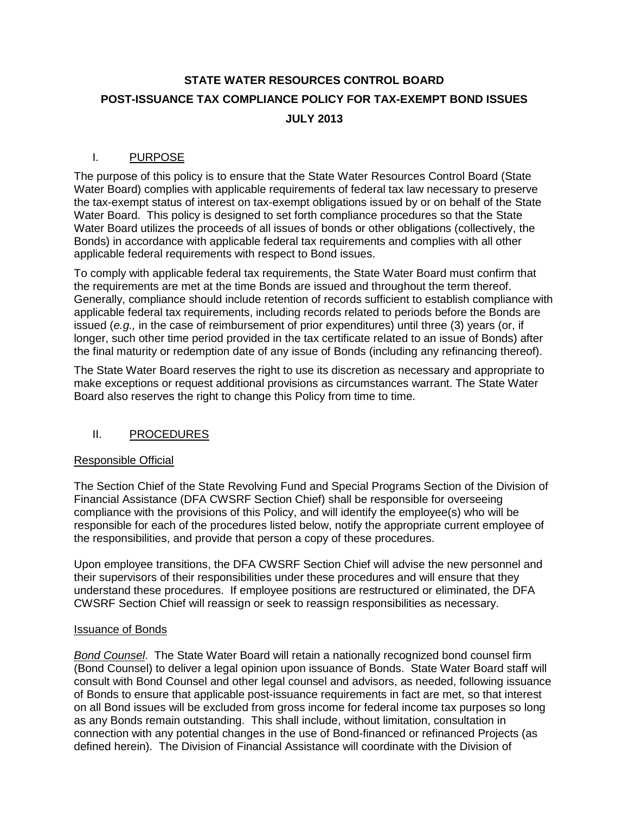# **STATE WATER RESOURCES CONTROL BOARD POST-ISSUANCE TAX COMPLIANCE POLICY FOR TAX-EXEMPT BOND ISSUES JULY 2013**

# I. PURPOSE

The purpose of this policy is to ensure that the State Water Resources Control Board (State Water Board) complies with applicable requirements of federal tax law necessary to preserve the tax-exempt status of interest on tax-exempt obligations issued by or on behalf of the State Water Board. This policy is designed to set forth compliance procedures so that the State Water Board utilizes the proceeds of all issues of bonds or other obligations (collectively, the Bonds) in accordance with applicable federal tax requirements and complies with all other applicable federal requirements with respect to Bond issues.

To comply with applicable federal tax requirements, the State Water Board must confirm that the requirements are met at the time Bonds are issued and throughout the term thereof. Generally, compliance should include retention of records sufficient to establish compliance with applicable federal tax requirements, including records related to periods before the Bonds are issued (*e.g.,* in the case of reimbursement of prior expenditures) until three (3) years (or, if longer, such other time period provided in the tax certificate related to an issue of Bonds) after the final maturity or redemption date of any issue of Bonds (including any refinancing thereof).

The State Water Board reserves the right to use its discretion as necessary and appropriate to make exceptions or request additional provisions as circumstances warrant. The State Water Board also reserves the right to change this Policy from time to time.

## II. PROCEDURES

## Responsible Official

The Section Chief of the State Revolving Fund and Special Programs Section of the Division of Financial Assistance (DFA CWSRF Section Chief) shall be responsible for overseeing compliance with the provisions of this Policy, and will identify the employee(s) who will be responsible for each of the procedures listed below, notify the appropriate current employee of the responsibilities, and provide that person a copy of these procedures.

Upon employee transitions, the DFA CWSRF Section Chief will advise the new personnel and their supervisors of their responsibilities under these procedures and will ensure that they understand these procedures. If employee positions are restructured or eliminated, the DFA CWSRF Section Chief will reassign or seek to reassign responsibilities as necessary.

#### Issuance of Bonds

*Bond Counsel*. The State Water Board will retain a nationally recognized bond counsel firm (Bond Counsel) to deliver a legal opinion upon issuance of Bonds. State Water Board staff will consult with Bond Counsel and other legal counsel and advisors, as needed, following issuance of Bonds to ensure that applicable post-issuance requirements in fact are met, so that interest on all Bond issues will be excluded from gross income for federal income tax purposes so long as any Bonds remain outstanding. This shall include, without limitation, consultation in connection with any potential changes in the use of Bond-financed or refinanced Projects (as defined herein). The Division of Financial Assistance will coordinate with the Division of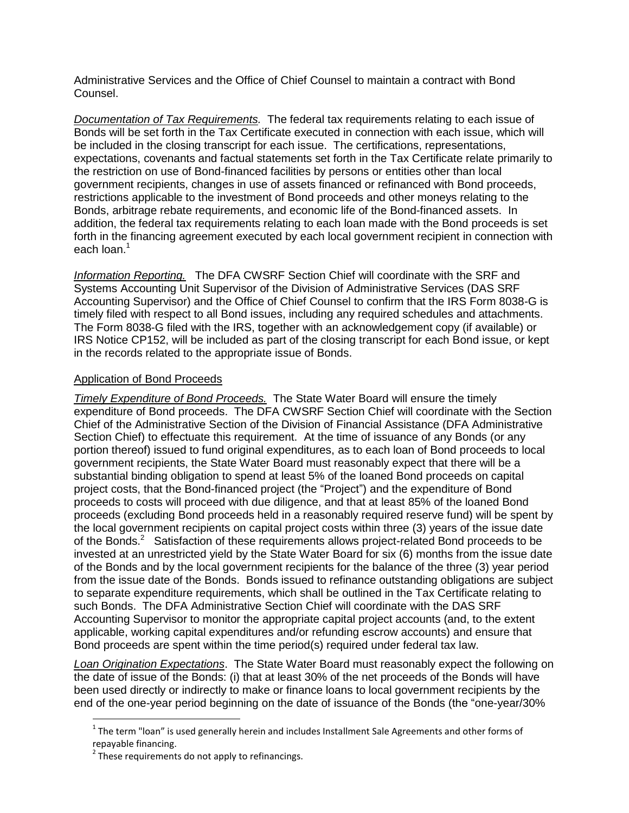Administrative Services and the Office of Chief Counsel to maintain a contract with Bond Counsel.

*Documentation of Tax Requirements.* The federal tax requirements relating to each issue of Bonds will be set forth in the Tax Certificate executed in connection with each issue, which will be included in the closing transcript for each issue. The certifications, representations, expectations, covenants and factual statements set forth in the Tax Certificate relate primarily to the restriction on use of Bond-financed facilities by persons or entities other than local government recipients, changes in use of assets financed or refinanced with Bond proceeds, restrictions applicable to the investment of Bond proceeds and other moneys relating to the Bonds, arbitrage rebate requirements, and economic life of the Bond-financed assets. In addition, the federal tax requirements relating to each loan made with the Bond proceeds is set forth in the financing agreement executed by each local government recipient in connection with each loan. 1

*Information Reporting.* The DFA CWSRF Section Chief will coordinate with the SRF and Systems Accounting Unit Supervisor of the Division of Administrative Services (DAS SRF Accounting Supervisor) and the Office of Chief Counsel to confirm that the IRS Form 8038-G is timely filed with respect to all Bond issues, including any required schedules and attachments. The Form 8038-G filed with the IRS, together with an acknowledgement copy (if available) or IRS Notice CP152, will be included as part of the closing transcript for each Bond issue, or kept in the records related to the appropriate issue of Bonds.

### Application of Bond Proceeds

*Timely Expenditure of Bond Proceeds.* The State Water Board will ensure the timely expenditure of Bond proceeds. The DFA CWSRF Section Chief will coordinate with the Section Chief of the Administrative Section of the Division of Financial Assistance (DFA Administrative Section Chief) to effectuate this requirement. At the time of issuance of any Bonds (or any portion thereof) issued to fund original expenditures, as to each loan of Bond proceeds to local government recipients, the State Water Board must reasonably expect that there will be a substantial binding obligation to spend at least 5% of the loaned Bond proceeds on capital project costs, that the Bond-financed project (the "Project") and the expenditure of Bond proceeds to costs will proceed with due diligence, and that at least 85% of the loaned Bond proceeds (excluding Bond proceeds held in a reasonably required reserve fund) will be spent by the local government recipients on capital project costs within three (3) years of the issue date of the Bonds. $2$  Satisfaction of these requirements allows project-related Bond proceeds to be invested at an unrestricted yield by the State Water Board for six (6) months from the issue date of the Bonds and by the local government recipients for the balance of the three (3) year period from the issue date of the Bonds. Bonds issued to refinance outstanding obligations are subject to separate expenditure requirements, which shall be outlined in the Tax Certificate relating to such Bonds. The DFA Administrative Section Chief will coordinate with the DAS SRF Accounting Supervisor to monitor the appropriate capital project accounts (and, to the extent applicable, working capital expenditures and/or refunding escrow accounts) and ensure that Bond proceeds are spent within the time period(s) required under federal tax law.

*Loan Origination Expectations*. The State Water Board must reasonably expect the following on the date of issue of the Bonds: (i) that at least 30% of the net proceeds of the Bonds will have been used directly or indirectly to make or finance loans to local government recipients by the end of the one-year period beginning on the date of issuance of the Bonds (the "one-year/30%

 $\overline{\phantom{a}}$ 

 $^1$  The term "loan" is used generally herein and includes Installment Sale Agreements and other forms of repayable financing.

 $2$  These requirements do not apply to refinancings.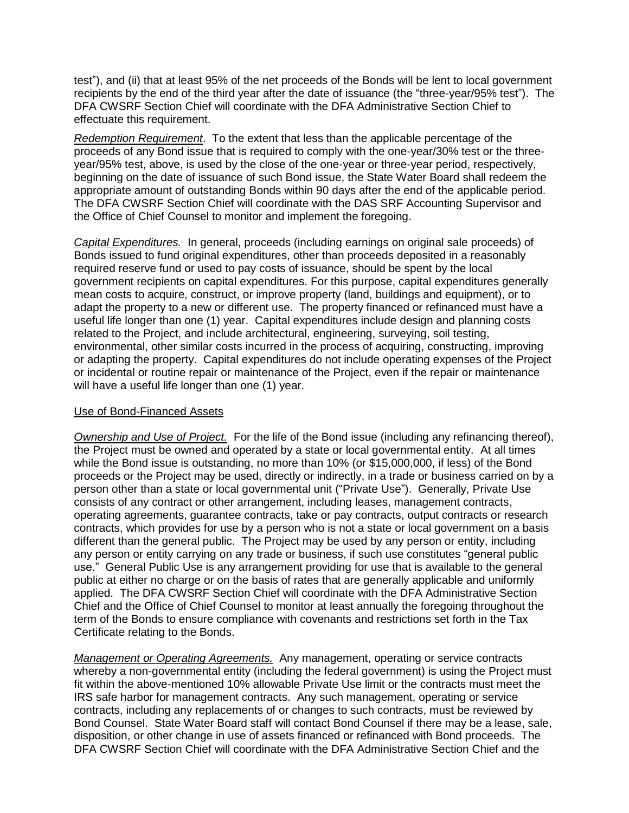test"), and (ii) that at least 95% of the net proceeds of the Bonds will be lent to local government recipients by the end of the third year after the date of issuance (the "three-year/95% test"). The DFA CWSRF Section Chief will coordinate with the DFA Administrative Section Chief to effectuate this requirement.

*Redemption Requirement*. To the extent that less than the applicable percentage of the proceeds of any Bond issue that is required to comply with the one-year/30% test or the threeyear/95% test, above, is used by the close of the one-year or three-year period, respectively, beginning on the date of issuance of such Bond issue, the State Water Board shall redeem the appropriate amount of outstanding Bonds within 90 days after the end of the applicable period. The DFA CWSRF Section Chief will coordinate with the DAS SRF Accounting Supervisor and the Office of Chief Counsel to monitor and implement the foregoing.

*Capital Expenditures.* In general, proceeds (including earnings on original sale proceeds) of Bonds issued to fund original expenditures, other than proceeds deposited in a reasonably required reserve fund or used to pay costs of issuance, should be spent by the local government recipients on capital expenditures. For this purpose, capital expenditures generally mean costs to acquire, construct, or improve property (land, buildings and equipment), or to adapt the property to a new or different use. The property financed or refinanced must have a useful life longer than one (1) year. Capital expenditures include design and planning costs related to the Project, and include architectural, engineering, surveying, soil testing, environmental, other similar costs incurred in the process of acquiring, constructing, improving or adapting the property. Capital expenditures do not include operating expenses of the Project or incidental or routine repair or maintenance of the Project, even if the repair or maintenance will have a useful life longer than one (1) year.

### Use of Bond-Financed Assets

*Ownership and Use of Project.* For the life of the Bond issue (including any refinancing thereof), the Project must be owned and operated by a state or local governmental entity. At all times while the Bond issue is outstanding, no more than 10% (or \$15,000,000, if less) of the Bond proceeds or the Project may be used, directly or indirectly, in a trade or business carried on by a person other than a state or local governmental unit ("Private Use"). Generally, Private Use consists of any contract or other arrangement, including leases, management contracts, operating agreements, guarantee contracts, take or pay contracts, output contracts or research contracts, which provides for use by a person who is not a state or local government on a basis different than the general public. The Project may be used by any person or entity, including any person or entity carrying on any trade or business, if such use constitutes "general public use." General Public Use is any arrangement providing for use that is available to the general public at either no charge or on the basis of rates that are generally applicable and uniformly applied. The DFA CWSRF Section Chief will coordinate with the DFA Administrative Section Chief and the Office of Chief Counsel to monitor at least annually the foregoing throughout the term of the Bonds to ensure compliance with covenants and restrictions set forth in the Tax Certificate relating to the Bonds.

*Management or Operating Agreements.* Any management, operating or service contracts whereby a non-governmental entity (including the federal government) is using the Project must fit within the above-mentioned 10% allowable Private Use limit or the contracts must meet the IRS safe harbor for management contracts. Any such management, operating or service contracts, including any replacements of or changes to such contracts, must be reviewed by Bond Counsel. State Water Board staff will contact Bond Counsel if there may be a lease, sale, disposition, or other change in use of assets financed or refinanced with Bond proceeds. The DFA CWSRF Section Chief will coordinate with the DFA Administrative Section Chief and the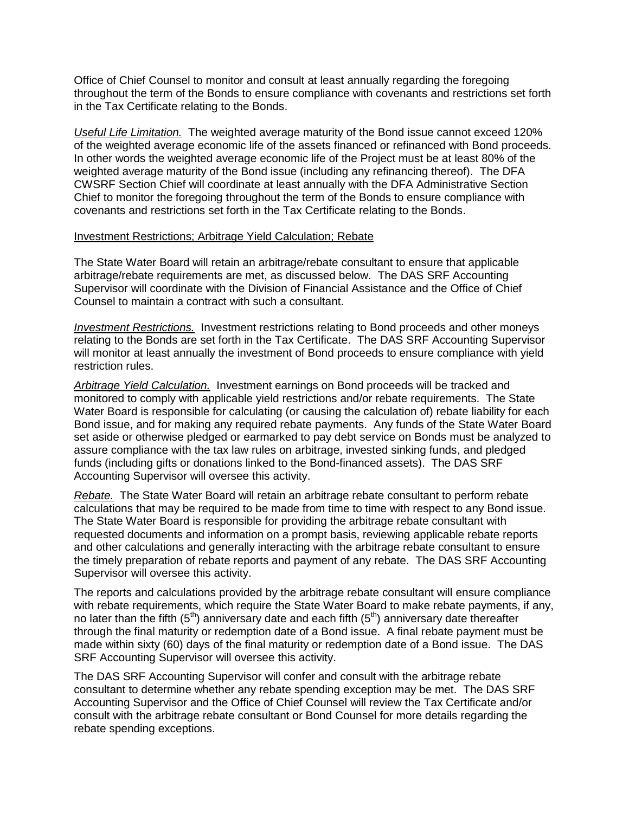Office of Chief Counsel to monitor and consult at least annually regarding the foregoing throughout the term of the Bonds to ensure compliance with covenants and restrictions set forth in the Tax Certificate relating to the Bonds.

*Useful Life Limitation.* The weighted average maturity of the Bond issue cannot exceed 120% of the weighted average economic life of the assets financed or refinanced with Bond proceeds. In other words the weighted average economic life of the Project must be at least 80% of the weighted average maturity of the Bond issue (including any refinancing thereof). The DFA CWSRF Section Chief will coordinate at least annually with the DFA Administrative Section Chief to monitor the foregoing throughout the term of the Bonds to ensure compliance with covenants and restrictions set forth in the Tax Certificate relating to the Bonds.

#### Investment Restrictions; Arbitrage Yield Calculation; Rebate

The State Water Board will retain an arbitrage/rebate consultant to ensure that applicable arbitrage/rebate requirements are met, as discussed below. The DAS SRF Accounting Supervisor will coordinate with the Division of Financial Assistance and the Office of Chief Counsel to maintain a contract with such a consultant.

*Investment Restrictions.* Investment restrictions relating to Bond proceeds and other moneys relating to the Bonds are set forth in the Tax Certificate. The DAS SRF Accounting Supervisor will monitor at least annually the investment of Bond proceeds to ensure compliance with yield restriction rules.

*Arbitrage Yield Calculation.* Investment earnings on Bond proceeds will be tracked and monitored to comply with applicable yield restrictions and/or rebate requirements. The State Water Board is responsible for calculating (or causing the calculation of) rebate liability for each Bond issue, and for making any required rebate payments. Any funds of the State Water Board set aside or otherwise pledged or earmarked to pay debt service on Bonds must be analyzed to assure compliance with the tax law rules on arbitrage, invested sinking funds, and pledged funds (including gifts or donations linked to the Bond-financed assets). The DAS SRF Accounting Supervisor will oversee this activity.

*Rebate.* The State Water Board will retain an arbitrage rebate consultant to perform rebate calculations that may be required to be made from time to time with respect to any Bond issue. The State Water Board is responsible for providing the arbitrage rebate consultant with requested documents and information on a prompt basis, reviewing applicable rebate reports and other calculations and generally interacting with the arbitrage rebate consultant to ensure the timely preparation of rebate reports and payment of any rebate. The DAS SRF Accounting Supervisor will oversee this activity.

The reports and calculations provided by the arbitrage rebate consultant will ensure compliance with rebate requirements, which require the State Water Board to make rebate payments, if any, no later than the fifth  $(5<sup>th</sup>)$  anniversary date and each fifth  $(5<sup>th</sup>)$  anniversary date thereafter through the final maturity or redemption date of a Bond issue. A final rebate payment must be made within sixty (60) days of the final maturity or redemption date of a Bond issue. The DAS SRF Accounting Supervisor will oversee this activity.

The DAS SRF Accounting Supervisor will confer and consult with the arbitrage rebate consultant to determine whether any rebate spending exception may be met. The DAS SRF Accounting Supervisor and the Office of Chief Counsel will review the Tax Certificate and/or consult with the arbitrage rebate consultant or Bond Counsel for more details regarding the rebate spending exceptions.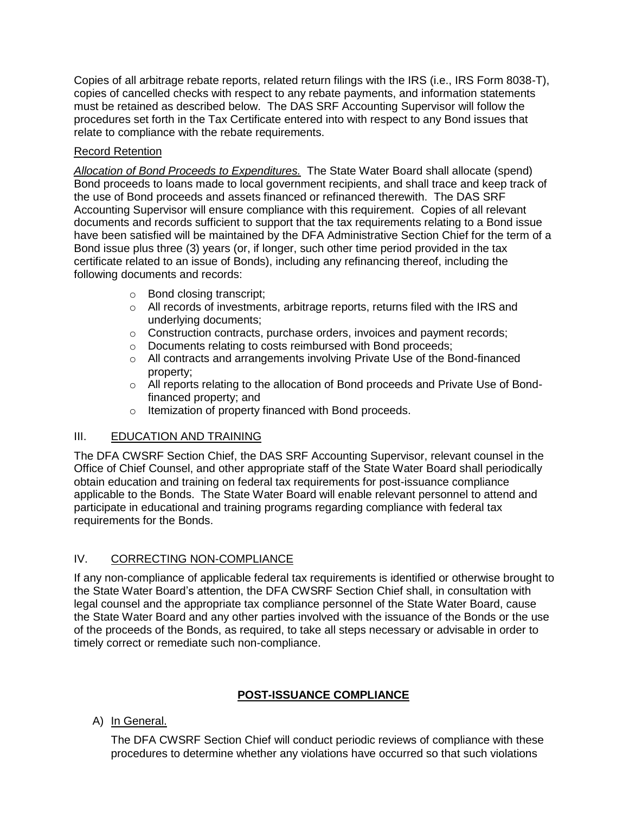Copies of all arbitrage rebate reports, related return filings with the IRS (i.e., IRS Form 8038-T), copies of cancelled checks with respect to any rebate payments, and information statements must be retained as described below. The DAS SRF Accounting Supervisor will follow the procedures set forth in the Tax Certificate entered into with respect to any Bond issues that relate to compliance with the rebate requirements.

# Record Retention

*Allocation of Bond Proceeds to Expenditures.* The State Water Board shall allocate (spend) Bond proceeds to loans made to local government recipients, and shall trace and keep track of the use of Bond proceeds and assets financed or refinanced therewith. The DAS SRF Accounting Supervisor will ensure compliance with this requirement. Copies of all relevant documents and records sufficient to support that the tax requirements relating to a Bond issue have been satisfied will be maintained by the DFA Administrative Section Chief for the term of a Bond issue plus three (3) years (or, if longer, such other time period provided in the tax certificate related to an issue of Bonds), including any refinancing thereof, including the following documents and records:

- o Bond closing transcript;
- $\circ$  All records of investments, arbitrage reports, returns filed with the IRS and underlying documents;
- o Construction contracts, purchase orders, invoices and payment records;
- o Documents relating to costs reimbursed with Bond proceeds;
- $\circ$  All contracts and arrangements involving Private Use of the Bond-financed property;
- o All reports relating to the allocation of Bond proceeds and Private Use of Bondfinanced property; and
- o Itemization of property financed with Bond proceeds.

# III. EDUCATION AND TRAINING

The DFA CWSRF Section Chief, the DAS SRF Accounting Supervisor, relevant counsel in the Office of Chief Counsel, and other appropriate staff of the State Water Board shall periodically obtain education and training on federal tax requirements for post-issuance compliance applicable to the Bonds. The State Water Board will enable relevant personnel to attend and participate in educational and training programs regarding compliance with federal tax requirements for the Bonds.

# IV. CORRECTING NON-COMPLIANCE

If any non-compliance of applicable federal tax requirements is identified or otherwise brought to the State Water Board's attention, the DFA CWSRF Section Chief shall, in consultation with legal counsel and the appropriate tax compliance personnel of the State Water Board, cause the State Water Board and any other parties involved with the issuance of the Bonds or the use of the proceeds of the Bonds, as required, to take all steps necessary or advisable in order to timely correct or remediate such non-compliance.

## **POST-ISSUANCE COMPLIANCE**

# A) In General.

The DFA CWSRF Section Chief will conduct periodic reviews of compliance with these procedures to determine whether any violations have occurred so that such violations